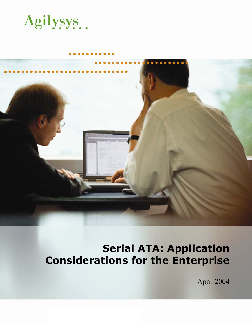



# **Serial ATA: Application Considerations for the Enterprise**

April 2004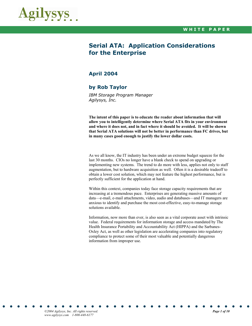

# **Serial ATA: Application Considerations for the Enterprise**

## **April 2004**

## **by Rob Taylor**

*IBM Storage Program Manager Agilysys, Inc.* 

**The intent of this paper is to educate the reader about information that will allow you to intelligently determine where Serial ATA fits in your environment and where it does not, and in fact where it should be avoided. It will be shown that Serial ATA solutions will not be better in performance than FC drives, but in many cases good enough to justify the lower dollar costs.** 

As we all know, the IT industry has been under an extreme budget squeeze for the last 30 months. CIOs no longer have a blank check to spend on upgrading or implementing new systems. The trend to do more with less, applies not only to staff augmentation, but to hardware acquisition as well. Often it is a desirable tradeoff to obtain a lower cost solution, which may not feature the highest performance, but is perfectly sufficient for the application at hand.

Within this context, companies today face storage capacity requirements that are increasing at a tremendous pace. Enterprises are generating massive amounts of data—e-mail, e-mail attachments, video, audio and databases—and IT managers are anxious to identify and purchase the most cost-effective, easy-to-manage storage solutions available.

Information, now more than ever, is also seen as a vital corporate asset with intrinsic value. Federal requirements for information storage and access mandated by The Health Insurance Portability and Accountability Act (HIPPA) and the Sarbanes-Oxley Act, as well as other legislation are accelerating companies into regulatory compliance to protect some of their most valuable and potentially dangerous information from improper use.

*©2004 Agilysys, Inc. All rights reserved. Page 1 of 10 www.agilysys.com 1-800-448-6177*  · ··················· · · ·· · · · · · · · · · ·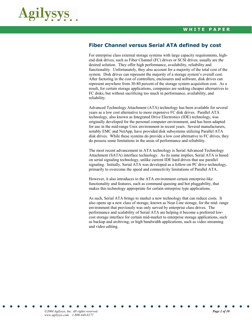

## **Fiber Channel versus Serial ATA defined by cost**

For enterprise class external storage systems with large capacity requirements, highend disk drives, such as Fiber Channel (FC) drives or SCSI drives, usually are the desired solution. They offer high performance, availability, reliability and functionality. Unfortunately, they also account for a majority of the total cost of the system. Disk drives can represent the majority of a storage system's overall cost. After factoring in the cost of controllers, enclosures and software, disk drives can represent anywhere from 30-80 percent of the storage system acquisition cost. As a result, for certain storage applications, companies are seeking cheaper alternatives to FC disks, but without sacrificing too much in performance, availability, and reliability.

Advanced Technology Attachment (ATA) technology has been available for several years as a low cost alternative to more expensive FC disk drives. Parallel ATA technology, also known as Integrated Drive Electronics (IDE) technology, was originally developed for the personal computer environment, and has been adapted for use in the mid-range Unix environment in recent years. Several manufacturers, notably EMC and NetApp, have provided disk subsystems utilizing Parallel ATA disk drives. While these systems do provide a low cost alternative to FC drives, they do possess some limitations in the areas of performance and reliability.

The most recent advancement in ATA technology is Serial Advanced Technology Attachment (SATA) interface technology. As its name implies, Serial ATA is based on serial signaling technology, unlike current IDE hard drives that use parallel signaling. Initially, Serial ATA was developed as a follow-on PC drive technology, primarily to overcome the speed and connectivity limitations of Parallel ATA.

However, it also introduces to the ATA environment certain enterprise-like functionality and features, such as command queuing and hot pluggability, that makes this technology appropriate for certain enterprise type applications.

As such, Serial ATA brings to market a new technology that can reduce costs. It also opens up a new class of storage, known as Near Line storage, for the mid- range environment that previously was only served by enterprise class drives. The performance and scalability of Serial ATA are helping it become a preferred lowcost storage interface for certain mid-market to enterprise storage applications, such as backup and archiving, or high bandwidth applications, such as video streaming and video editing.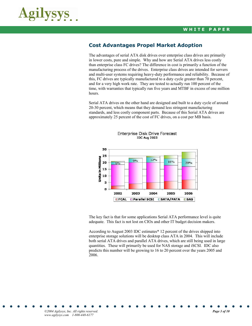

## **Cost Advantages Propel Market Adoption**

The advantages of serial ATA disk drives over enterprise class drives are primarily in lower costs, pure and simple. Why and how are Serial ATA drives less costly than enterprise class FC drives? The difference in cost is primarily a function of the manufacturing process of the drives. Enterprise class drives are intended for servers and multi-user systems requiring heavy-duty performance and reliability. Because of this, FC drives are typically manufactured to a duty cycle greater than 70 percent, and for a very high work rate. They are tested to actually run 100 percent of the time, with warranties that typically run five years and MTBF in excess of one million hours.

Serial ATA drives on the other hand are designed and built to a duty cycle of around 20-30 percent, which means that they demand less stringent manufacturing standards, and less costly component parts. Because of this Serial ATA drives are approximately 25 percent of the cost of FC drives, on a cost per MB basis.



**Enterprise Disk Drive Forecast IDC Aug 2003** 

The key fact is that for some applications Serial ATA performance level is quite adequate. This fact is not lost on CIOs and other IT budget decision makers.

According to August 2003 IDC estimates\* 12 percent of the drives shipped into enterprise storage solutions will be desktop class ATA in 2004. This will include both serial ATA drives and parallel ATA drives, which are still being used in large quantities. These will primarily be used for NAS storage and iSCSI. IDC also predicts this number will be growing to 16 to 20 percent over the years 2005 and 2006.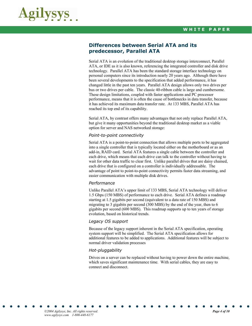

## **Differences between Serial ATA and its predecessor, Parallel ATA**

Serial ATA is an evolution of the traditional desktop storage interconnect, Parallel ATA, or IDE as it is also known, referencing the integrated controller and disk drive technology. Parallel ATA has been the standard storage interface technology on personal computers since its introduction nearly 20 years ago. Although there have been several developments to the specification that added performance, it has changed little in the past ten years. Parallel ATA design allows only two drives per bus or two drives per cable. The classic 40-ribbon cable is large and cumbersome. These design limitations, coupled with faster applications and PC processor performance, means that it is often the cause of bottlenecks in data transfer, because it has achieved its maximum data transfer rate. At 133 MBS, Parallel ATA has reached its top end of its capability.

Serial ATA, by contrast offers many advantages that not only replace Parallel ATA, but give it many opportunities beyond the traditional desktop market as a viable option for server and NAS networked storage:

#### *Point-to-point connectivity*

Serial ATA is a point-to-point connection that allows multiple ports to be aggregated into a single controller that is typically located either on the motherboard or as an add-in, RAID card. Serial ATA features a single cable between the controller and each drive, which means that each drive can talk to the controller without having to wait for other data traffic to clear first. Unlike parallel drives that are daisy chained, each drive that is configured on a controller is individually addressable. The advantage of point to point-to-point connectivity permits faster data streaming, and easier communication with multiple disk drives.

#### *Performance*

Unlike Parallel ATA's upper limit of 133 MBS, Serial ATA technology will deliver 1.5 Gbps (150 MBS) of performance to each drive. Serial ATA defines a roadmap starting at 1.5 gigabits per second (equivalent to a data rate of 150 MBS) and migrating to 3 gigabits per second (300 MBS) by the end of the year, then to 6 gigabits per second (600 MBS). This roadmap supports up to ten years of storage evolution, based on historical trends.

#### *Legacy OS support*

Because of the legacy support inherent in the Serial ATA specification, operating system support will be simplified. The Serial ATA specification allows for additional features to be added to applications. Additional features will be subject to normal driver validation processes

#### *Hot-pluggability*

Drives on a server can be replaced without having to power down the entire machine, which saves significant maintenance time. With serial cables, they are easy to connect and disconnect.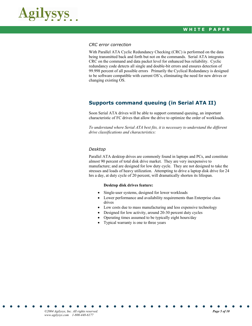

#### *CRC error correction*

With Parallel ATA Cyclic Redundancy Checking (CRC) is performed on the data being transmitted back and forth but not on the commands. Serial ATA integrates CRC on the command and data packet level for enhanced bus reliability. Cyclic redundancy code detects all single and double-bit errors and ensures detection of 99.998 percent of all possible errors Primarily the Cyclical Redundancy is designed to be software compatible with current OS's, eliminating the need for new drives or changing existing OS.

# **Supports command queuing (in Serial ATA II)**

Soon Serial ATA drives will be able to support command queuing, an important characteristic of FC drives that allow the drive to optimize the order of workloads.

*To understand where Serial ATA best fits, it is necessary to understand the different drive classifications and characteristics:* 

#### *Desktop*

Parallel ATA desktop drives are commonly found in laptops and PCs, and constitute almost 90 percent of total disk drive market. They are very inexpensive to manufacture; and are designed for low duty cycle. They are not designed to take the stresses and loads of heavy utilization. Attempting to drive a laptop disk drive for 24 hrs a day, at duty cycle of 20 percent, will dramatically shorten its lifespan.

#### **Desktop disk drives feature:**

- Single-user systems, designed for lower workloads
- Lower performance and availability requirements than Enterprise class drives
- Low costs due to mass manufacturing and less expensive technology
- Designed for low activity, around 20-30 percent duty cycles
- Operating times assumed to be typically eight hours/day
- Typical warranty is one to three years

*©2004 Agilysys, Inc. All rights reserved. Page 5 of 10 www.agilysys.com 1-800-448-6177*  · ··················· · · ·· · · · · · · · · · ·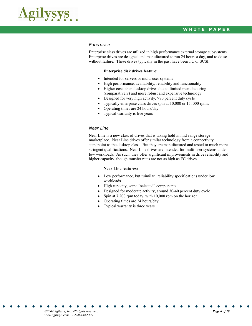

#### *Enterprise*

Enterprise class drives are utilized in high performance external storage subsystems. Enterprise drives are designed and manufactured to run 24 hours a day, and to do so without failure. These drives typically in the past have been FC or SCSI.

#### **Enterprise disk drives feature:**

- Intended for servers or multi-user systems
- High performance, availability, reliability and functionality
- Higher costs than desktop drives due to limited manufacturing (comparatively) and more robust and expensive technology
- Designed for very high activity, >70 percent duty cycle
- Typically enterprise class drives spin at 10,000 or 15, 000 rpms.
- Operating times are 24 hours/day
- Typical warranty is five years

#### *Near Line*

Near Line is a new class of drives that is taking hold in mid-range storage marketplace. Near Line drives offer similar technology from a connectivity standpoint as the desktop class. But they are manufactured and tested to much more stringent qualifications. Near Line drives are intended for multi-user systems under low workloads. As such, they offer significant improvements in drive reliability and higher capacity, though transfer rates are not as high as FC drives.

#### **Near Line features:**

- Low performance, but "similar" reliability specifications under low workloads
- High capacity, some "selected" components
- Designed for moderate activity, around 30-40 percent duty cycle
- Spin at 7,200 rpm today, with 10,000 rpm on the horizon
- Operating times are 24 hours/day
- Typical warranty is three years

*©2004 Agilysys, Inc. All rights reserved. Page 6 of 10 www.agilysys.com 1-800-448-6177*  · ··················· · · ·· · · · · · · · · · ·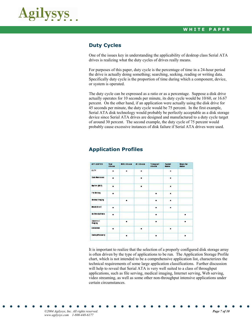

## **Duty Cycles**

One of the issues key in understanding the applicability of desktop class Serial ATA drives is realizing what the duty cycles of drives really means.

For purposes of this paper, duty cycle is the percentage of time in a 24-hour period the drive is actually doing something; searching, seeking, reading or writing data. Specifically duty cycle is the proportion of time during which a component, device, or system is operated.

The duty cycle can be expressed as a ratio or as a percentage. Suppose a disk drive actually operates for 10 seconds per minute, its duty cycle would be 10/60, or 16.67 percent. On the other hand, if an application were actually using the disk drive for 45 seconds per minute, the duty cycle would be 75 percent. In the first example, Serial ATA disk technology would probably be perfectly acceptable as a disk storage device since Serial ATA drives are designed and manufactured to a duty cycle target of around 30 percent. The second example, the duty cycle of 75 percent would probably cause excessive instances of disk failure if Serial ATA drives were used.

| <b>APPLICATION</b> | Read<br>Intensive | Write Internation | <b>JO literatie</b> | Timigipit<br>lite is he | Raidon<br>Access | Segre (that<br>Access. |
|--------------------|-------------------|-------------------|---------------------|-------------------------|------------------|------------------------|
| OLTP               | à                 | ٠                 |                     |                         | ٠                |                        |
| Data Ware to use   | ٠                 |                   | ٠                   |                         | ٠                |                        |
| Sustain (SCP)      |                   |                   |                     |                         |                  |                        |
| File Serving       |                   |                   |                     |                         | ٠                |                        |
| Medical Imaging    |                   |                   |                     |                         |                  |                        |
| meanteret.         |                   |                   |                     |                         |                  |                        |
| Mittmedia Video    |                   |                   |                     |                         |                  |                        |
| Document<br>maging |                   |                   |                     |                         |                  |                        |
| CADCAM             | ٠                 |                   | W.                  |                         | ¥.               |                        |
| Back p/Recovery    |                   | ä                 |                     | ä,                      |                  | ×                      |

## **Application Profiles**

It is important to realize that the selection of a properly configured disk storage array is often driven by the type of applications to be run. The Application Storage Profile chart, which is not intended to be a comprehensive application list, characterizes the technical requirements of some large application classifications. Further discussion will help to reveal that Serial ATA is very well suited to a class of throughput applications, such as file serving, medical imaging, Internet serving, Web serving, video streaming, as well as some other non-throughput intensive applications under certain circumstances.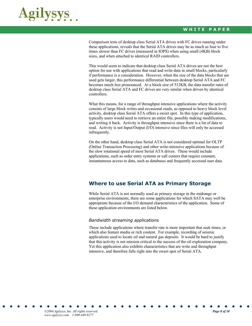

Comparison tests of desktop class Serial ATA drives with FC drives running under these applications, reveals that the Serial ATA drives may be as much as four to five times slower than FC drives (measured in IOPS) when using small (4KB) block sizes, and when attached to identical RAID controllers.

This would seem to indicate that desktop class Serial ATA drives are not the best option for use with applications that read and write data in small blocks, particularly if performance is a consideration. However, when the size of the data blocks that are used gets larger, this performance differential between desktop Serial ATA and FC becomes much less pronounced. At a block size of 512KB, the data transfer rates of desktop class Serial ATA and FC drives are very similar when driven by identical controllers.

What this means, for a range of throughput intensive applications where the activity consists of large block writes and occasional reads, as opposed to heavy block level activity, desktop class Serial ATA offers a sweet spot. In this type of application, typically users would need to retrieve an entire file, possibly making modifications, and writing it back. Activity is throughput intensive since there is a lot of data to read. Activity is not Input/Output (I/O) intensive since files will only be accessed infrequently.

On the other hand, desktop class Serial ATA is not considered optimal for OLTP (Online Transaction Processing) and other write-intensive applications because of the slow rotational speed of most Serial ATA drives. These would include applications, such as order entry systems or call centers that require constant, instantaneous access to data, such as databases and frequently accessed user data.

## **Where to use Serial ATA as Primary Storage**

While Serial ATA is not normally used as primary storage in the midrange or enterprise environments, there are some applications for which SATA may well be appropriate because of the I/O demand characteristics of the application. Some of these application environments are listed below.

#### *Bandwidth streaming applications*

These include applications where transfer rate is more important that seek times, or which also feature media or rich content. For example, recording of seismic applications used to locate oil and natural gas deposits. It would be hard to justify that this activity is not mission critical to the success of the oil exploration company. Yet this application also exhibits characteristics that are write and throughput intensive, and therefore falls right into the sweet spot of Serial ATA.

*©2004 Agilysys, Inc. All rights reserved. Page 8 of 10 www.agilysys.com 1-800-448-6177*  · ··················· · · ·· · · · · · · · · · ·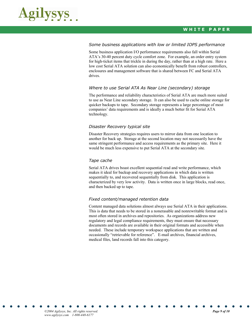

#### *Some business applications with low or limited IOPS performance*

Some business application I/O performance requirements also fall within Serial ATA's 30-40 percent duty cycle comfort zone. For example, an order entry system for high-ticket items that trickle in during the day, rather than at a high rate. Here a low cost Serial ATA solution can also economically benefit from robust controllers, enclosures and management software that is shared between FC and Serial ATA drives.

#### *Where to use Serial ATA As Near Line (secondary) storage*

The performance and reliability characteristics of Serial ATA are much more suited to use as Near Line secondary storage. It can also be used to cache online storage for quicker backups to tape. Secondary storage represents a large percentage of most companies' data requirements and is ideally a much better fit for Serial ATA technology.

#### *Disaster Recovery typical site*

Disaster Recovery strategies requires users to mirror data from one location to another for back up. Storage at the second location may not necessarily have the same stringent performance and access requirements as the primary site. Here it would be much less expensive to put Serial ATA at the secondary site.

#### *Tape cache*

Serial ATA drives boast excellent sequential read and write performance, which makes it ideal for backup and recovery applications in which data is written sequentially to, and recovered sequentially from disk. This application is characterized by very low activity. Data is written once in large blocks, read once, and then backed up to tape.

#### *Fixed content/managed retention data*

Content managed data solutions almost always use Serial ATA in their applications. This is data that needs to be stored in a nonerasable and nonrewritable format and is most often stored in archives and repositories. As organizations address new regulatory and legal compliance requirements, they must ensure that necessary documents and records are available in their original formats and accessible when needed. These include temporary workspace applications that are written and occasionally "retrievable for reference". E-mail archives, financial archives, medical files, land records fall into this category.

*©2004 Agilysys, Inc. All rights reserved. Page 9 of 10 www.agilysys.com 1-800-448-6177*  · ··················· · · ·· · · · · · · · · · ·